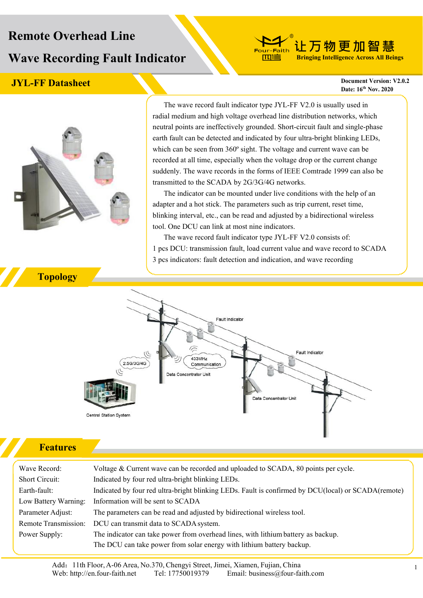# **Remote Overhead Line Wave Recording Fault Indicator**

### **JYL-FF Datasheet Document Version: V2.0.2**

**Date: 16 th Nov. 2020**

**让万物更加智慧 Bringing Intelligence Across All Beings**



The wave record fault indicator type JYL-FF V2.0 is usually used in radial medium and high voltage overhead line distribution networks, which neutral points are ineffectively grounded. Short-circuit fault and single-phase earth fault can be detected and indicated by four ultra-bright blinking LEDs, which can be seen from 360° sight. The voltage and current wave can be recorded at all time, especially when the voltage drop or the current change suddenly. The wave records in the forms of IEEE Comtrade 1999 can also be transmitted to the SCADA by 2G/3G/4G networks.

-Faith

The indicator can be mounted under live conditions with the help of an adapter and a hot stick. The parameters such as trip current, reset time, blinking interval, etc., can be read and adjusted by a bidirectional wireless tool. One DCU can link at most nine indicators.

The wave record fault indicator type JYL-FF V2.0 consists of: 1 pcs DCU: transmission fault, load current value and wave record to SCADA 3 pcs indicators: fault detection and indication, and wave recording



#### **Features**

Wave Record: Voltage & Current wave can be recorded and uploaded to SCADA, 80 points per cycle. Short Circuit: Indicated by four red ultra-bright blinking LEDs. Earth-fault: Indicated by four red ultra-bright blinking LEDs. Fault is confirmed by DCU(local) or SCADA(remote) Low Battery Warning: Information will be sent to SCADA Parameter Adjust: The parameters can be read and adjusted by bidirectional wireless tool. Remote Transmission: DCU can transmit data to SCADA system. Power Supply: The indicator can take power from overhead lines, with lithium battery as backup. The DCU can take power from solar energy with lithium battery backup.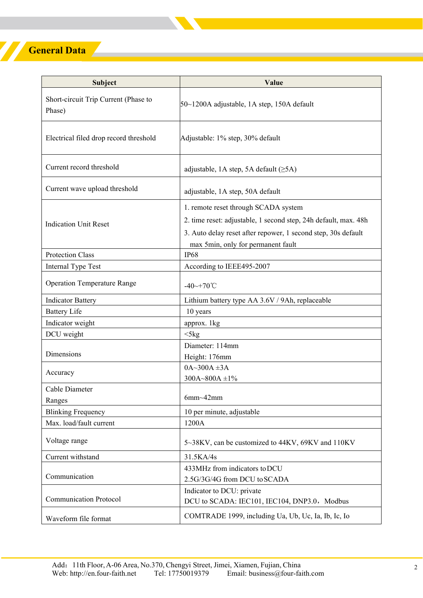## **General Data**

Z

| Subject                                        | Value                                                                                                                                                                                                          |
|------------------------------------------------|----------------------------------------------------------------------------------------------------------------------------------------------------------------------------------------------------------------|
| Short-circuit Trip Current (Phase to<br>Phase) | 50~1200A adjustable, 1A step, 150A default                                                                                                                                                                     |
| Electrical filed drop record threshold         | Adjustable: 1% step, 30% default                                                                                                                                                                               |
| Current record threshold                       | adjustable, 1A step, 5A default $(\geq 5A)$                                                                                                                                                                    |
| Current wave upload threshold                  | adjustable, 1A step, 50A default                                                                                                                                                                               |
| <b>Indication Unit Reset</b>                   | 1. remote reset through SCADA system<br>2. time reset: adjustable, 1 second step, 24h default, max. 48h<br>3. Auto delay reset after repower, 1 second step, 30s default<br>max 5min, only for permanent fault |
| <b>Protection Class</b>                        | <b>IP68</b>                                                                                                                                                                                                    |
| Internal Type Test                             | According to IEEE495-2007                                                                                                                                                                                      |
| <b>Operation Temperature Range</b>             | $-40$ ~+70°C                                                                                                                                                                                                   |
| <b>Indicator Battery</b>                       | Lithium battery type AA 3.6V / 9Ah, replaceable                                                                                                                                                                |
| <b>Battery Life</b>                            | 10 years                                                                                                                                                                                                       |
| Indicator weight                               | approx. 1kg                                                                                                                                                                                                    |
| DCU weight                                     | $<$ 5 $kg$                                                                                                                                                                                                     |
| Dimensions                                     | Diameter: 114mm<br>Height: 176mm                                                                                                                                                                               |
| Accuracy                                       | $0A - 300A \pm 3A$<br>300A~800A $\pm$ 1%                                                                                                                                                                       |
| Cable Diameter                                 |                                                                                                                                                                                                                |
| Ranges                                         | $6mm-42mm$                                                                                                                                                                                                     |
| <b>Blinking Frequency</b>                      | 10 per minute, adjustable                                                                                                                                                                                      |
| Max. load/fault current                        | 1200A                                                                                                                                                                                                          |
| Voltage range                                  | 5~38KV, can be customized to 44KV, 69KV and 110KV                                                                                                                                                              |
| Current withstand                              | 31.5KA/4s                                                                                                                                                                                                      |
| Communication                                  | 433MHz from indicators to DCU<br>2.5G/3G/4G from DCU to SCADA                                                                                                                                                  |
| <b>Communication Protocol</b>                  | Indicator to DCU: private<br>DCU to SCADA: IEC101, IEC104, DNP3.0, Modbus                                                                                                                                      |
| Waveform file format                           | COMTRADE 1999, including Ua, Ub, Uc, Ia, Ib, Ic, Io                                                                                                                                                            |